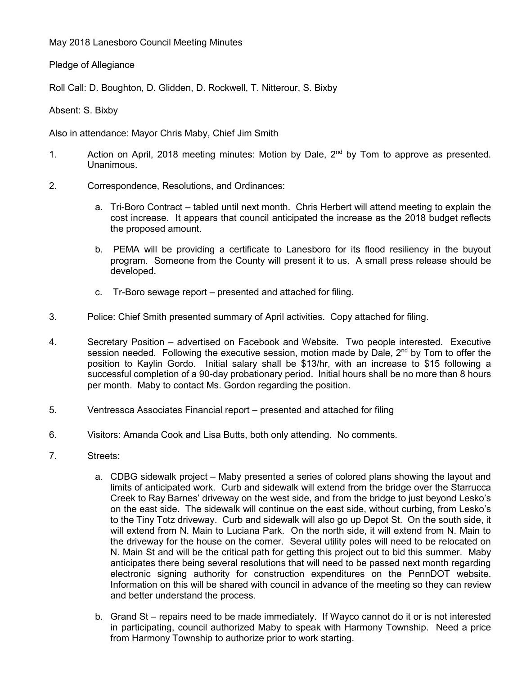May 2018 Lanesboro Council Meeting Minutes

Pledge of Allegiance

Roll Call: D. Boughton, D. Glidden, D. Rockwell, T. Nitterour, S. Bixby

Absent: S. Bixby

Also in attendance: Mayor Chris Maby, Chief Jim Smith

- 1. Action on April, 2018 meeting minutes: Motion by Dale, 2<sup>nd</sup> by Tom to approve as presented. Unanimous.
- 2. Correspondence, Resolutions, and Ordinances:
	- a. Tri-Boro Contract tabled until next month. Chris Herbert will attend meeting to explain the cost increase. It appears that council anticipated the increase as the 2018 budget reflects the proposed amount.
	- b. PEMA will be providing a certificate to Lanesboro for its flood resiliency in the buyout program. Someone from the County will present it to us. A small press release should be developed.
	- c. Tr-Boro sewage report presented and attached for filing.
- 3. Police: Chief Smith presented summary of April activities. Copy attached for filing.
- 4. Secretary Position advertised on Facebook and Website. Two people interested. Executive session needed. Following the executive session, motion made by Dale,  $2^{nd}$  by Tom to offer the position to Kaylin Gordo. Initial salary shall be \$13/hr, with an increase to \$15 following a successful completion of a 90-day probationary period. Initial hours shall be no more than 8 hours per month. Maby to contact Ms. Gordon regarding the position.
- 5. Ventressca Associates Financial report presented and attached for filing
- 6. Visitors: Amanda Cook and Lisa Butts, both only attending. No comments.
- 7. Streets:
	- a. CDBG sidewalk project Maby presented a series of colored plans showing the layout and limits of anticipated work. Curb and sidewalk will extend from the bridge over the Starrucca Creek to Ray Barnes' driveway on the west side, and from the bridge to just beyond Lesko's on the east side. The sidewalk will continue on the east side, without curbing, from Lesko's to the Tiny Totz driveway. Curb and sidewalk will also go up Depot St. On the south side, it will extend from N. Main to Luciana Park. On the north side, it will extend from N. Main to the driveway for the house on the corner. Several utility poles will need to be relocated on N. Main St and will be the critical path for getting this project out to bid this summer. Maby anticipates there being several resolutions that will need to be passed next month regarding electronic signing authority for construction expenditures on the PennDOT website. Information on this will be shared with council in advance of the meeting so they can review and better understand the process.
	- b. Grand St repairs need to be made immediately. If Wayco cannot do it or is not interested in participating, council authorized Maby to speak with Harmony Township. Need a price from Harmony Township to authorize prior to work starting.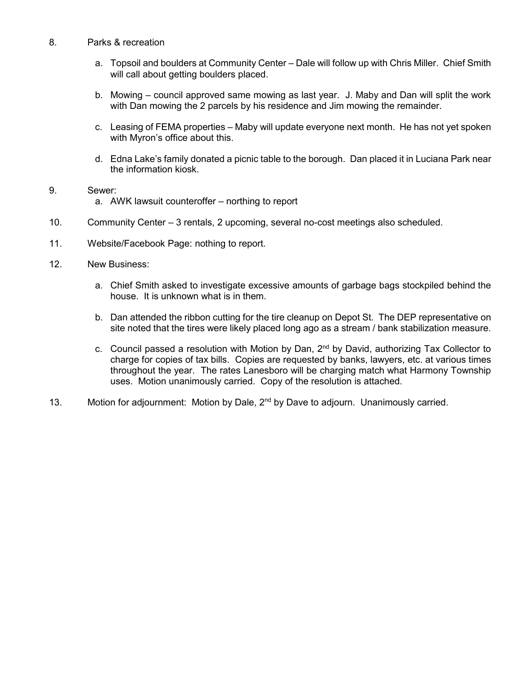- 8. Parks & recreation
	- a. Topsoil and boulders at Community Center Dale will follow up with Chris Miller. Chief Smith will call about getting boulders placed.
	- b. Mowing council approved same mowing as last year. J. Maby and Dan will split the work with Dan mowing the 2 parcels by his residence and Jim mowing the remainder.
	- c. Leasing of FEMA properties Maby will update everyone next month. He has not yet spoken with Myron's office about this.
	- d. Edna Lake's family donated a picnic table to the borough. Dan placed it in Luciana Park near the information kiosk.
- 9. Sewer: a. AWK lawsuit counteroffer – northing to report
- 10. Community Center 3 rentals, 2 upcoming, several no-cost meetings also scheduled.
- 11. Website/Facebook Page: nothing to report.
- 12. New Business:
	- a. Chief Smith asked to investigate excessive amounts of garbage bags stockpiled behind the house. It is unknown what is in them.
	- b. Dan attended the ribbon cutting for the tire cleanup on Depot St. The DEP representative on site noted that the tires were likely placed long ago as a stream / bank stabilization measure.
	- c. Council passed a resolution with Motion by Dan,  $2^{nd}$  by David, authorizing Tax Collector to charge for copies of tax bills. Copies are requested by banks, lawyers, etc. at various times throughout the year. The rates Lanesboro will be charging match what Harmony Township uses. Motion unanimously carried. Copy of the resolution is attached.
- 13. Motion for adjournment: Motion by Dale, 2<sup>nd</sup> by Dave to adjourn. Unanimously carried.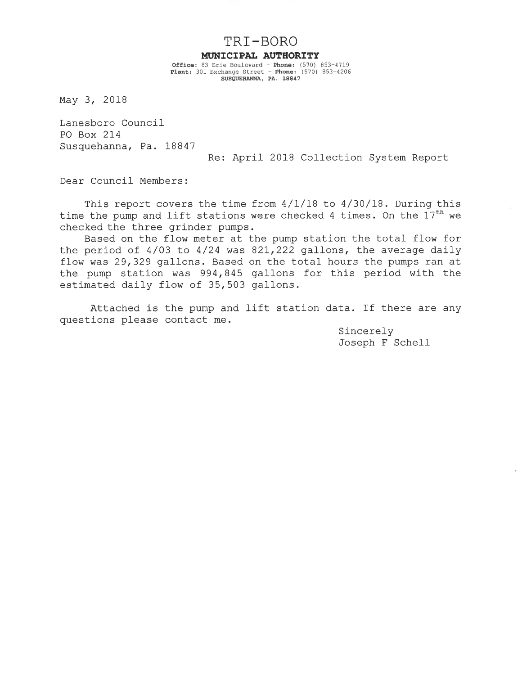TRI-BORO

### MUNICIPAL AUTHORITY

Office: 83 Erie Boulevard - Phone: (570) 853-4719<br>Plant: 301 Exchange Street - Phone: (570) 853-4206 SUSQUEHANNA, PA. 18847

May 3, 2018

Lanesboro Council PO Box 214 Susquehanna, Pa. 18847

Re: April 2018 Collection System Report

Dear Council Members:

This report covers the time from 4/1/18 to 4/30/18. During this time the pump and lift stations were checked 4 times. On the 17<sup>th</sup> we checked the three grinder pumps.

Based on the flow meter at the pump station the total flow for the period of  $4/03$  to  $4/24$  was  $821,222$  gallons, the average daily flow was 29,329 gallons. Based on the total hours the pumps ran at the pump station was 994,845 gallons for this period with the estimated daily flow of 35,503 gallons.

Attached is the pump and lift station data. If there are any questions please contact me.

> Sincerely Joseph F Schell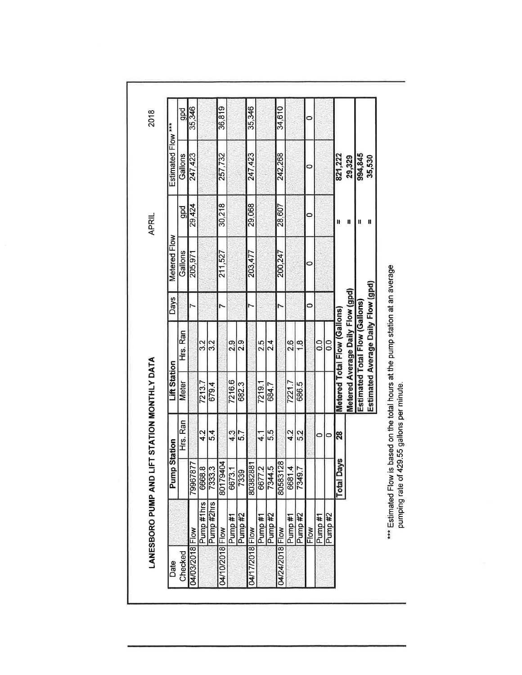| Date            |               | Pump                  | <b>Station</b>   | <b>Lift Station</b> |                                    | <b>Days</b> | Metered Flow       |                | Estimated Flow *** |        |
|-----------------|---------------|-----------------------|------------------|---------------------|------------------------------------|-------------|--------------------|----------------|--------------------|--------|
| Checked         |               |                       | Hrs. Ran         | <b>Meter</b>        | Hrs. Ran                           |             | Gallons            | pd<br>B        | Gallons            | gpd    |
| 04/03/2018 Flow |               | Ņ<br>7996787          |                  |                     |                                    |             | $\frac{205.97}{5}$ | 29,424         | 247,423            | 35,346 |
|                 | Pump #1hrs    | 6668.8                | 4.2              | 7213.7              | 3                                  |             |                    |                |                    |        |
|                 | Pump #2hrs    | 7333.3                | 5.4              | 679.4               | 3.2                                |             |                    |                |                    |        |
| 04/10/2018 Flow |               | Ā<br>8017940          |                  |                     |                                    |             | 211,527            | 30,218         | 257,732            | 36,819 |
|                 | Pump#1        | 6673.1                | 4.3              | 7216.6              | 2.9                                |             |                    |                |                    |        |
|                 | Pump #2       | 7339                  | $\overline{5.7}$ | 682.3               | 2.9                                |             |                    |                |                    |        |
| 04/17/2018 Flow |               | 8038288               |                  |                     |                                    |             | 203,477            | 29,068         | 247,423            | 35,346 |
|                 | Pump#1        | 6677.2                | $\frac{1}{4}$    | 7219.1              | 2.5                                |             |                    |                |                    |        |
|                 | Pump #2       |                       | 5.5              | 684.7               | 2.4                                |             |                    |                |                    |        |
| 04/24/2018 Flow |               | 7344.5                |                  |                     |                                    |             | 200,247            | 28,607         | 242,268            | 34,610 |
|                 | <b>Pump#1</b> | 6681.4                | 4.2              | 7221.7              | 2.6                                |             |                    |                |                    |        |
|                 | Pump #2       | 7349.7                | 5.2              | 686.5               | 1.8                                |             |                    |                |                    |        |
| Flow            |               |                       |                  |                     |                                    | 0           | 0                  | 0              | 0                  | 0      |
|                 | Pump #1       |                       | 0                |                     | $\frac{0}{2}$                      |             |                    |                |                    |        |
|                 | Pump #2       |                       | $\circ$          |                     | 0.0                                |             |                    |                |                    |        |
|                 |               | уs<br><b>Total Da</b> | 28               |                     | Metered Total Flow (Gallons)       |             |                    |                | 821,222            |        |
|                 |               |                       |                  |                     | Metered Average Daily Flow (gpd)   |             |                    | $\blacksquare$ | 29,329             |        |
|                 |               |                       |                  |                     | Estimated Total Flow (Gallons)     |             |                    | $\blacksquare$ | 994,845            |        |
|                 |               |                       |                  |                     | Estimated Average Daily Flow (gpd) |             |                    | П              | 35,530             |        |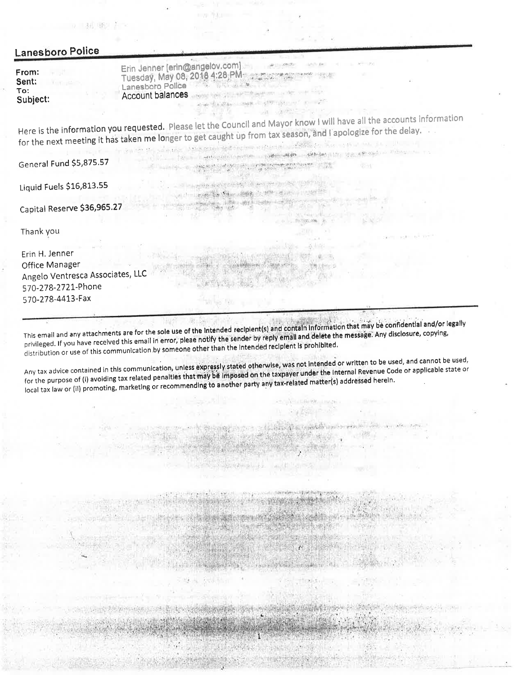| anesboro Police.                  |                                                                                                                                                                                                                                                                                                                                                                                                                                                                              |
|-----------------------------------|------------------------------------------------------------------------------------------------------------------------------------------------------------------------------------------------------------------------------------------------------------------------------------------------------------------------------------------------------------------------------------------------------------------------------------------------------------------------------|
| :rom:<br>sent:<br>Го:<br>Subject: | Erin Jenner [erin@angelov.com]<br>Tuesday, May 08, 2018 4:28 PM<br>Lanesboro Police<br>Account balances and contract the the second second<br>me the day was a strongener in the                                                                                                                                                                                                                                                                                             |
|                                   | Here is the information you requested. Please let the Council and Mayor know I will have all the accounts information<br>for the next meeting it has taken me longer to get caught up from tax season, and I apologize for the delay.<br>the community of parties to enter the terms of the community of the community of the community of the community<br>the military of the state of the control of the state of the state of the state of the state of the state of the |
| General Fund \$5,875.57           |                                                                                                                                                                                                                                                                                                                                                                                                                                                                              |
| Liquid Fuels \$16,813.55          | $\label{eq:4.1} \qquad \qquad \nonumber \hskip10pt = \frac{1}{2} \left[ \left( \frac{1}{2} \left( \frac{1}{2} \left( \frac{1}{2} \frac{1}{2} \frac{1}{2} \frac{1}{2} \frac{1}{2} \frac{1}{2} \frac{1}{2} \frac{1}{2} \frac{1}{2} \frac{1}{2} \frac{1}{2} \frac{1}{2} \frac{1}{2} \frac{1}{2} \frac{1}{2} \frac{1}{2} \frac{1}{2} \frac{1}{2} \frac{1}{2} \frac{1}{2} \frac{1}{2} \frac{1}{2} \frac{1}{2} \$<br>Sale Company for Star a Stick of the second company           |
| Capital Reserve \$36,965.27       |                                                                                                                                                                                                                                                                                                                                                                                                                                                                              |
| Thank you                         |                                                                                                                                                                                                                                                                                                                                                                                                                                                                              |

Erin H. Jenner Office Manager Angelo Ventresca Associates, LLC 570-278-2721-Phone 570-278-4413-Fax

This email and any attachments are for the sole use of the Intended recipient(s) and contain information that may be confidential and/or legally privileged. If you have received this email in error, pleae notify the sender by reply email and delete the message. Any disclosure, copying, distribution or use of this communication by someone other than the intended recipient is prohibited.

Any tax advice contained in this communication, unless expressly stated otherwise, was not intended or written to be used, and cannot be used, for the purpose of (i) avoiding tax related penalties that may be imposed on the taxpayer under the Internal Revenue Code or applicable state or local tax law or (ii) promoting, marketing or recommending to another party any tax-related matter(s) addressed herein.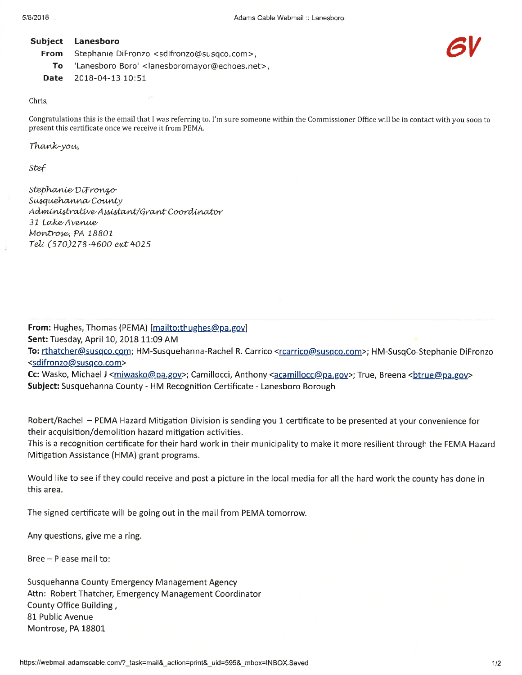#### Subject Lanesboro **From** Stephanie DiFronzo <sdifronzo@susqco.com>, **To** 'Lanesboro Boro' <lanesboromayor@echoes.net>,

Date 2018-04-13 10:51

### Chris.

Congratulations this is the email that I was referring to. I'm sure someone within the Commissioner Office will be in contact with you soon to present this certificate once we receive it from PEMA.

Thank-you,

Stef

Stephanie DiFronzo Susquehanna County Administrative Assistant/Grant Coordinator 31 Lake Avenue Montrose, PA 18801 Tel: (570)278-4600 ext 4025

From: Hughes, Thomas (PEMA) [mailto:thughes@pa.gov] Sent: Tuesday, April 10, 2018 11:09 AM To: rthatcher@susqco.com; HM-Susquehanna-Rachel R. Carrico <rcarrico@susqco.com>; HM-SusqCo-Stephanie DiFronzo <sdifronzo@susgco.com>

Cc: Wasko, Michael J <miwasko@pa.gov>; Camillocci, Anthony <acamillocc@pa.gov>; True, Breena <br/>htrue@pa.gov> Subject: Susquehanna County - HM Recognition Certificate - Lanesboro Borough

Robert/Rachel - PEMA Hazard Mitigation Division is sending you 1 certificate to be presented at your convenience for their acquisition/demolition hazard mitigation activities.

This is a recognition certificate for their hard work in their municipality to make it more resilient through the FEMA Hazard Mitigation Assistance (HMA) grant programs.

Would like to see if they could receive and post a picture in the local media for all the hard work the county has done in this area.

The signed certificate will be going out in the mail from PEMA tomorrow.

Any questions, give me a ring.

Bree - Please mail to:

Susquehanna County Emergency Management Agency Attn: Robert Thatcher, Emergency Management Coordinator County Office Building, 81 Public Avenue Montrose, PA 18801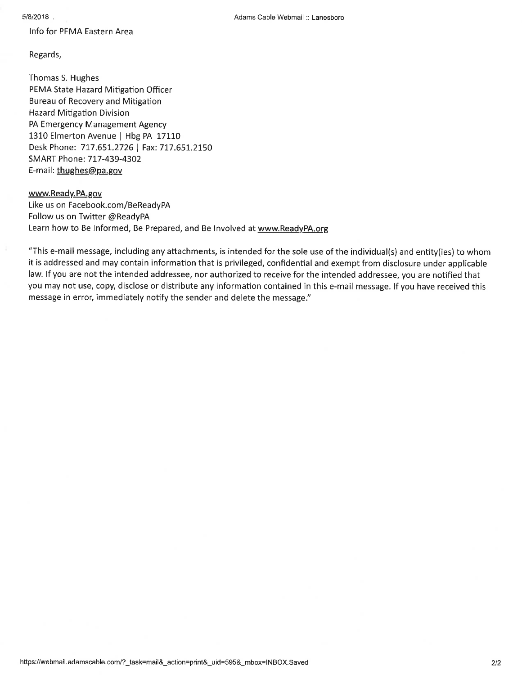Info for PEMA Eastern Area

Regards,

Thomas S. Hughes PEMA State Hazard Mitigation Officer Bureau of Recovery and Mitigation **Hazard Mitigation Division** PA Emergency Management Agency 1310 Elmerton Avenue | Hbg PA 17110 Desk Phone: 717.651.2726 | Fax: 717.651.2150 SMART Phone: 717-439-4302 E-mail: thughes@pa.gov

## www.Ready.PA.gov

Like us on Facebook.com/BeReadyPA Follow us on Twitter @ReadyPA Learn how to Be Informed, Be Prepared, and Be Involved at www.ReadyPA.org

"This e-mail message, including any attachments, is intended for the sole use of the individual(s) and entity(ies) to whom it is addressed and may contain information that is privileged, confidential and exempt from disclosure under applicable law. If you are not the intended addressee, nor authorized to receive for the intended addressee, you are notified that you may not use, copy, disclose or distribute any information contained in this e-mail message. If you have received this message in error, immediately notify the sender and delete the message."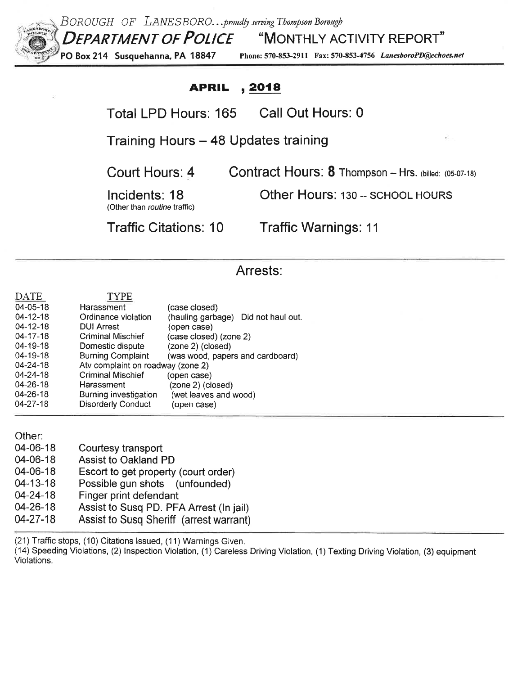

BOROUGH OF LANESBORO...proudly serving Thompson Borough DEPARTMENT OF POLICE "MONTHLY ACTIVITY REPORT"

PO Box 214 Susquehanna, PA 18847 Phone: 570-853-2911 Fax: 570-853-4756 LanesboroPD@echoes.net

#### , 2018 **APRIL**

Total LPD Hours: 165 Call Out Hours: 0

Training Hours - 48 Updates training

Court Hours: 4

Contract Hours: 8 Thompson - Hrs. (billed: (05-07-18)

Other Hours: 130 -- SCHOOL HOURS

Incidents: 18 (Other than routine traffic)

**Traffic Citations: 10** 

**Traffic Warnings: 11** 

# Arrests:

| DATE     | <b>TYPE</b>                       |                                     |  |
|----------|-----------------------------------|-------------------------------------|--|
| 04-05-18 | Harassment                        | (case closed)                       |  |
| 04-12-18 | Ordinance violation               | (hauling garbage) Did not haul out. |  |
| 04-12-18 | <b>DUI Arrest</b>                 | (open case)                         |  |
| 04-17-18 | Criminal Mischief                 | (case closed) (zone 2)              |  |
| 04-19-18 | Domestic dispute                  | (zone 2) (closed)                   |  |
| 04-19-18 | <b>Burning Complaint</b>          | (was wood, papers and cardboard)    |  |
| 04-24-18 | Atv complaint on roadway (zone 2) |                                     |  |
| 04-24-18 | <b>Criminal Mischief</b>          | (open case)                         |  |
| 04-26-18 | Harassment                        | (zone 2) (closed)                   |  |
| 04-26-18 | Burning investigation             | (wet leaves and wood)               |  |
| 04-27-18 | <b>Disorderly Conduct</b>         | (open case)                         |  |
|          |                                   |                                     |  |

Other:

| 04-06-18       | Courtesy transport                      |
|----------------|-----------------------------------------|
| 04-06-18       | <b>Assist to Oakland PD</b>             |
| 04-06-18       | Escort to get property (court order)    |
| $04 - 13 - 18$ | Possible gun shots (unfounded)          |
| $04 - 24 - 18$ | Finger print defendant                  |
| $04 - 26 - 18$ | Assist to Susq PD. PFA Arrest (In jail) |
| $04 - 27 - 18$ | Assist to Susq Sheriff (arrest warrant) |

(21) Traffic stops, (10) Citations Issued, (11) Warnings Given.

(14) Speeding Violations, (2) Inspection Violation, (1) Careless Driving Violation, (1) Texting Driving Violation, (3) equipment Violations.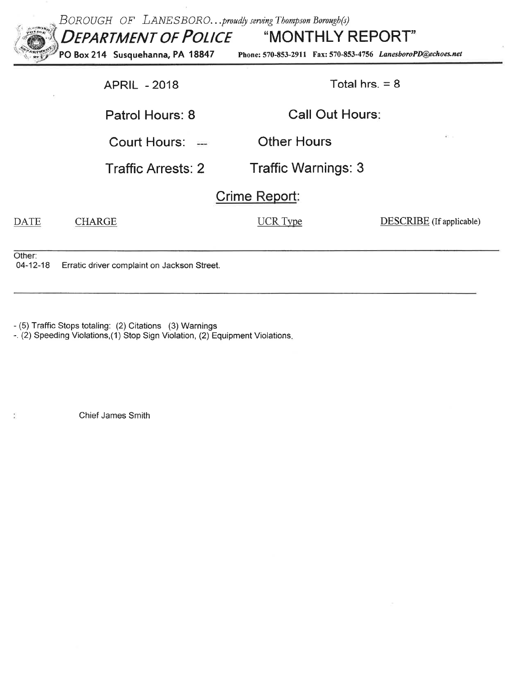| $e^{ABOB}$               | BOROUGH OF LANESBOROproudly serving Thompson Borough(s)<br><b>DEPARTMENT OF POLICE "MONTHLY REPORT"</b><br>PO Box 214 Susquehanna, PA 18847<br>Phone: 570-853-2911 Fax: 570-853-4756 LanesboroPD@echoes.net |                            |                          |  |  |
|--------------------------|-------------------------------------------------------------------------------------------------------------------------------------------------------------------------------------------------------------|----------------------------|--------------------------|--|--|
|                          | Total hrs. $= 8$<br><b>APRIL - 2018</b>                                                                                                                                                                     |                            |                          |  |  |
|                          | Patrol Hours: 8                                                                                                                                                                                             | <b>Call Out Hours:</b>     |                          |  |  |
|                          | Court Hours: $=$                                                                                                                                                                                            | <b>Other Hours</b>         |                          |  |  |
|                          | <b>Traffic Arrests: 2</b>                                                                                                                                                                                   | <b>Traffic Warnings: 3</b> |                          |  |  |
| Crime Report:            |                                                                                                                                                                                                             |                            |                          |  |  |
| <b>DATE</b>              | CHARGE                                                                                                                                                                                                      | UCR Type                   | DESCRIBE (If applicable) |  |  |
| Other:<br>$04 - 12 - 18$ | Erratic driver complaint on Jackson Street.                                                                                                                                                                 |                            |                          |  |  |

 $\mathcal{L}$ 

- (5) Traffic Stops totaling: (2) Citations (3) Warnings<br>-. (2) Speeding Violations, (1) Stop Sign Violation, (2) Equipment Violations.

Chief James Smith

 $\widetilde{\Sigma}$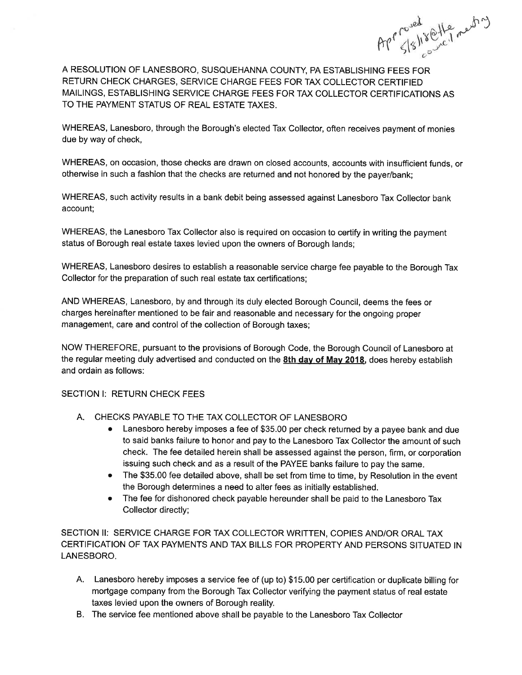Approved offer ments

A RESOLUTION OF LANESBORO, SUSQUEHANNA COUNTY, PA ESTABLISHING FEES FOR RETURN CHECK CHARGES, SERVICE CHARGE FEES FOR TAX COLLECTOR CERTIFIED MAILINGS, ESTABLISHING SERVICE CHARGE FEES FOR TAX COLLECTOR CERTIFICATIONS AS TO THE PAYMENT STATUS OF REAL ESTATE TAXES.

WHEREAS, Lanesboro, through the Borough's elected Tax Collector, often receives payment of monies due by way of check,

WHEREAS, on occasion, those checks are drawn on closed accounts, accounts with insufficient funds, or otherwise in such a fashion that the checks are returned and not honored by the payer/bank;

WHEREAS, such activity results in a bank debit being assessed against Lanesboro Tax Collector bank account:

WHEREAS, the Lanesboro Tax Collector also is required on occasion to certify in writing the payment status of Borough real estate taxes levied upon the owners of Borough lands;

WHEREAS, Lanesboro desires to establish a reasonable service charge fee payable to the Borough Tax Collector for the preparation of such real estate tax certifications;

AND WHEREAS, Lanesboro, by and through its duly elected Borough Council, deems the fees or charges hereinafter mentioned to be fair and reasonable and necessary for the ongoing proper management, care and control of the collection of Borough taxes;

NOW THEREFORE, pursuant to the provisions of Borough Code, the Borough Council of Lanesboro at the regular meeting duly advertised and conducted on the 8th day of May 2018, does hereby establish and ordain as follows:

# SECTION I: RETURN CHECK FEES

- A. CHECKS PAYABLE TO THE TAX COLLECTOR OF LANESBORO
	- Lanesboro hereby imposes a fee of \$35.00 per check returned by a payee bank and due  $\bullet$ to said banks failure to honor and pay to the Lanesboro Tax Collector the amount of such check. The fee detailed herein shall be assessed against the person, firm, or corporation issuing such check and as a result of the PAYEE banks failure to pay the same.
	- The \$35.00 fee detailed above, shall be set from time to time, by Resolution in the event the Borough determines a need to alter fees as initially established.
	- The fee for dishonored check payable hereunder shall be paid to the Lanesboro Tax Collector directly;

SECTION II: SERVICE CHARGE FOR TAX COLLECTOR WRITTEN, COPIES AND/OR ORAL TAX CERTIFICATION OF TAX PAYMENTS AND TAX BILLS FOR PROPERTY AND PERSONS SITUATED IN LANESBORO.

- A. Lanesboro hereby imposes a service fee of (up to) \$15.00 per certification or duplicate billing for mortgage company from the Borough Tax Collector verifying the payment status of real estate taxes levied upon the owners of Borough reality.
- B. The service fee mentioned above shall be payable to the Lanesboro Tax Collector